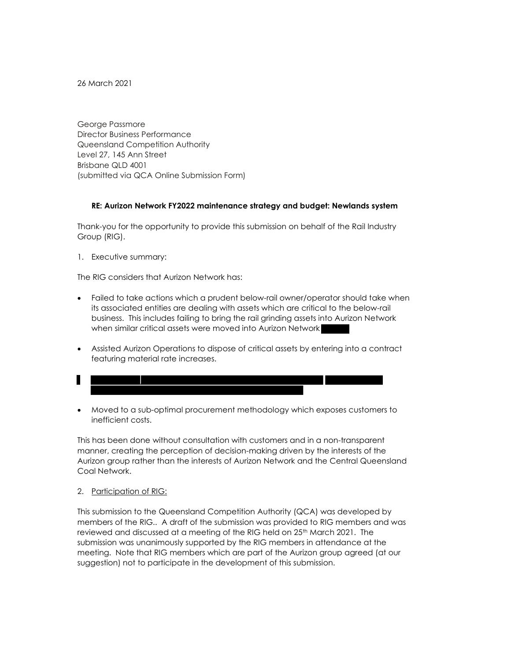26 March 2021

George Passmore Director Business Performance Queensland Competition Authority Level 27, 145 Ann Street Brisbane QLD 4001 (submitted via QCA Online Submission Form)

## RE: Aurizon Network FY2022 maintenance strategy and budget: Newlands system

Thank-you for the opportunity to provide this submission on behalf of the Rail Industry Group (RIG).

1. Executive summary:

The RIG considers that Aurizon Network has:

- Failed to take actions which a prudent below-rail owner/operator should take when its associated entities are dealing with assets which are critical to the below-rail business. This includes failing to bring the rail grinding assets into Aurizon Network when similar critical assets were moved into Aurizon Network
- Assisted Aurizon Operations to dispose of critical assets by entering into a contract featuring material rate increases.
- Ш
- Moved to a sub-optimal procurement methodology which exposes customers to inefficient costs.

This has been done without consultation with customers and in a non-transparent manner, creating the perception of decision-making driven by the interests of the Aurizon group rather than the interests of Aurizon Network and the Central Queensland Coal Network.

#### 2. Participation of RIG:

This submission to the Queensland Competition Authority (QCA) was developed by members of the RIG.. A draft of the submission was provided to RIG members and was reviewed and discussed at a meeting of the RIG held on 25<sup>th</sup> March 2021. The submission was unanimously supported by the RIG members in attendance at the meeting. Note that RIG members which are part of the Aurizon group agreed (at our suggestion) not to participate in the development of this submission.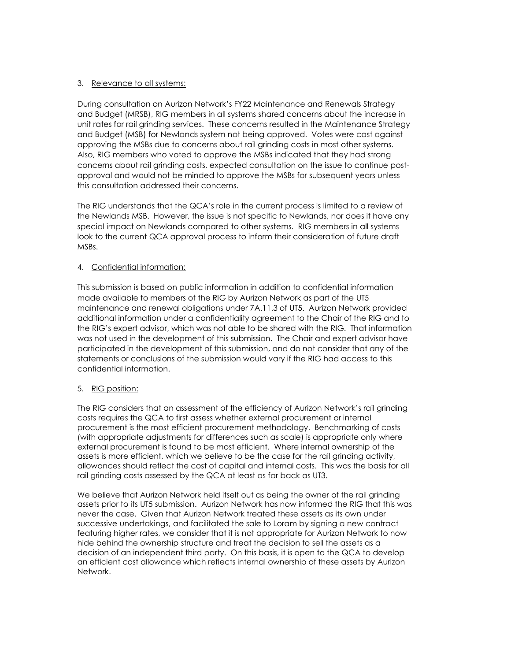# 3. Relevance to all systems:

During consultation on Aurizon Network's FY22 Maintenance and Renewals Strategy and Budget (MRSB), RIG members in all systems shared concerns about the increase in unit rates for rail grinding services. These concerns resulted in the Maintenance Strategy and Budget (MSB) for Newlands system not being approved. Votes were cast against approving the MSBs due to concerns about rail grinding costs in most other systems. Also, RIG members who voted to approve the MSBs indicated that they had strong concerns about rail grinding costs, expected consultation on the issue to continue postapproval and would not be minded to approve the MSBs for subsequent years unless this consultation addressed their concerns.

The RIG understands that the QCA's role in the current process is limited to a review of the Newlands MSB. However, the issue is not specific to Newlands, nor does it have any special impact on Newlands compared to other systems. RIG members in all systems look to the current QCA approval process to inform their consideration of future draft MSBs.

# 4. Confidential information:

This submission is based on public information in addition to confidential information made available to members of the RIG by Aurizon Network as part of the UT5 maintenance and renewal obligations under 7A.11.3 of UT5. Aurizon Network provided additional information under a confidentiality agreement to the Chair of the RIG and to the RIG's expert advisor, which was not able to be shared with the RIG. That information was not used in the development of this submission. The Chair and expert advisor have participated in the development of this submission, and do not consider that any of the statements or conclusions of the submission would vary if the RIG had access to this confidential information.

## 5. RIG position:

The RIG considers that an assessment of the efficiency of Aurizon Network's rail grinding costs requires the QCA to first assess whether external procurement or internal procurement is the most efficient procurement methodology. Benchmarking of costs (with appropriate adjustments for differences such as scale) is appropriate only where external procurement is found to be most efficient. Where internal ownership of the assets is more efficient, which we believe to be the case for the rail grinding activity, allowances should reflect the cost of capital and internal costs. This was the basis for all rail grinding costs assessed by the QCA at least as far back as UT3.

We believe that Aurizon Network held itself out as being the owner of the rail grinding assets prior to its UT5 submission. Aurizon Network has now informed the RIG that this was never the case. Given that Aurizon Network treated these assets as its own under successive undertakings, and facilitated the sale to Loram by signing a new contract featuring higher rates, we consider that it is not appropriate for Aurizon Network to now hide behind the ownership structure and treat the decision to sell the assets as a decision of an independent third party. On this basis, it is open to the QCA to develop an efficient cost allowance which reflects internal ownership of these assets by Aurizon Network.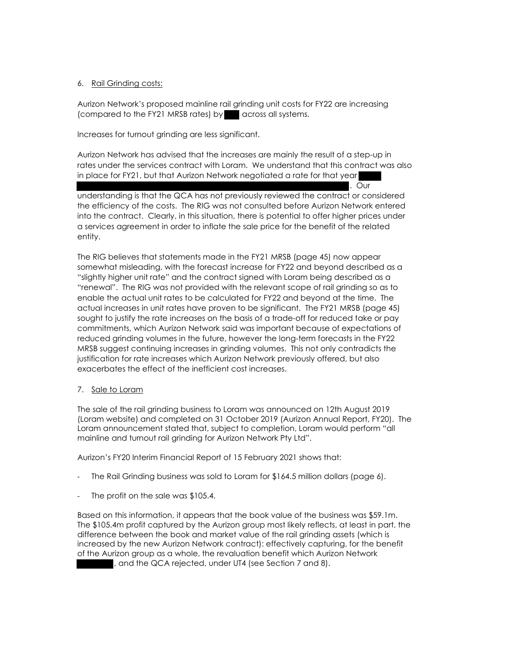# 6. Rail Grinding costs:

Aurizon Network's proposed mainline rail grinding unit costs for FY22 are increasing (compared to the FY21 MRSB rates) by across all systems.

Increases for turnout grinding are less significant.

Aurizon Network has advised that the increases are mainly the result of a step-up in rates under the services contract with Loram. We understand that this contract was also in place for FY21, but that Aurizon Network negotiated a rate for that year

. Our

understanding is that the QCA has not previously reviewed the contract or considered the efficiency of the costs. The RIG was not consulted before Aurizon Network entered into the contract. Clearly, in this situation, there is potential to offer higher prices under a services agreement in order to inflate the sale price for the benefit of the related entity.

The RIG believes that statements made in the FY21 MRSB (page 45) now appear somewhat misleading, with the forecast increase for FY22 and beyond described as a "slightly higher unit rate" and the contract signed with Loram being described as a "renewal". The RIG was not provided with the relevant scope of rail grinding so as to enable the actual unit rates to be calculated for FY22 and beyond at the time. The actual increases in unit rates have proven to be significant. The FY21 MRSB (page 45) sought to justify the rate increases on the basis of a trade-off for reduced take or pay commitments, which Aurizon Network said was important because of expectations of reduced grinding volumes in the future, however the long-term forecasts in the FY22 MRSB suggest continuing increases in grinding volumes. This not only contradicts the justification for rate increases which Aurizon Network previously offered, but also exacerbates the effect of the inefficient cost increases.

## 7. Sale to Loram

The sale of the rail grinding business to Loram was announced on 12th August 2019 (Loram website) and completed on 31 October 2019 (Aurizon Annual Report, FY20). The Loram announcement stated that, subject to completion, Loram would perform "all mainline and turnout rail grinding for Aurizon Network Pty Ltd".

Aurizon's FY20 Interim Financial Report of 15 February 2021 shows that:

- The Rail Grinding business was sold to Loram for \$164.5 million dollars (page 6).
- The profit on the sale was \$105.4.

Based on this information, it appears that the book value of the business was \$59.1m. The \$105.4m profit captured by the Aurizon group most likely reflects, at least in part, the difference between the book and market value of the rail grinding assets (which is increased by the new Aurizon Network contract): effectively capturing, for the benefit of the Aurizon group as a whole, the revaluation benefit which Aurizon Network , and the QCA rejected, under UT4 (see Section 7 and 8).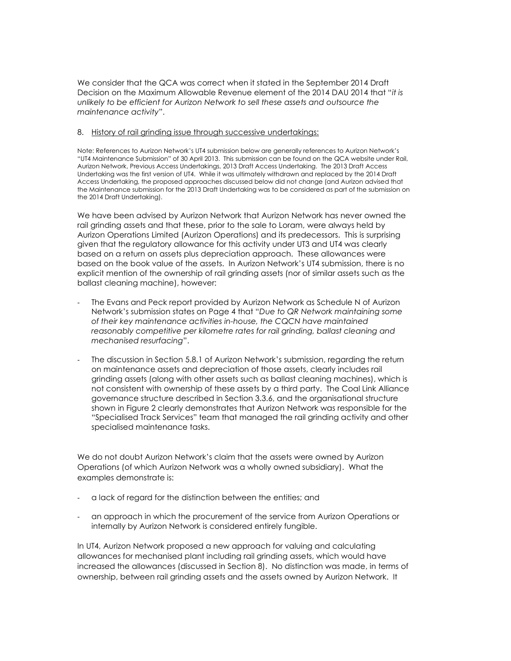We consider that the QCA was correct when it stated in the September 2014 Draft Decision on the Maximum Allowable Revenue element of the 2014 DAU 2014 that "it is unlikely to be efficient for Aurizon Network to sell these assets and outsource the maintenance activity".

#### 8. History of rail grinding issue through successive undertakings:

Note: References to Aurizon Network's UT4 submission below are generally references to Aurizon Network's "UT4 Maintenance Submission" of 30 April 2013. This submission can be found on the QCA website under Rail, Aurizon Network, Previous Access Undertakings, 2013 Draft Access Undertaking. The 2013 Draft Access Undertaking was the first version of UT4. While it was ultimately withdrawn and replaced by the 2014 Draft Access Undertaking, the proposed approaches discussed below did not change (and Aurizon advised that the Maintenance submission for the 2013 Draft Undertaking was to be considered as part of the submission on the 2014 Draft Undertaking).

We have been advised by Aurizon Network that Aurizon Network has never owned the rail grinding assets and that these, prior to the sale to Loram, were always held by Aurizon Operations Limited (Aurizon Operations) and its predecessors. This is surprising given that the regulatory allowance for this activity under UT3 and UT4 was clearly based on a return on assets plus depreciation approach. These allowances were based on the book value of the assets. In Aurizon Network's UT4 submission, there is no explicit mention of the ownership of rail grinding assets (nor of similar assets such as the ballast cleaning machine), however:

- The Evans and Peck report provided by Aurizon Network as Schedule N of Aurizon Network's submission states on Page 4 that "Due to QR Network maintaining some of their key maintenance activities in-house, the CQCN have maintained reasonably competitive per kilometre rates for rail grinding, ballast cleaning and mechanised resurfacing".
- The discussion in Section 5.8.1 of Aurizon Network's submission, regarding the return on maintenance assets and depreciation of those assets, clearly includes rail grinding assets (along with other assets such as ballast cleaning machines), which is not consistent with ownership of these assets by a third party. The Coal Link Alliance governance structure described in Section 3.3.6, and the organisational structure shown in Figure 2 clearly demonstrates that Aurizon Network was responsible for the "Specialised Track Services" team that managed the rail grinding activity and other specialised maintenance tasks.

We do not doubt Aurizon Network's claim that the assets were owned by Aurizon Operations (of which Aurizon Network was a wholly owned subsidiary). What the examples demonstrate is:

- a lack of regard for the distinction between the entities; and
- an approach in which the procurement of the service from Aurizon Operations or internally by Aurizon Network is considered entirely fungible.

In UT4, Aurizon Network proposed a new approach for valuing and calculating allowances for mechanised plant including rail grinding assets, which would have increased the allowances (discussed in Section 8). No distinction was made, in terms of ownership, between rail grinding assets and the assets owned by Aurizon Network. It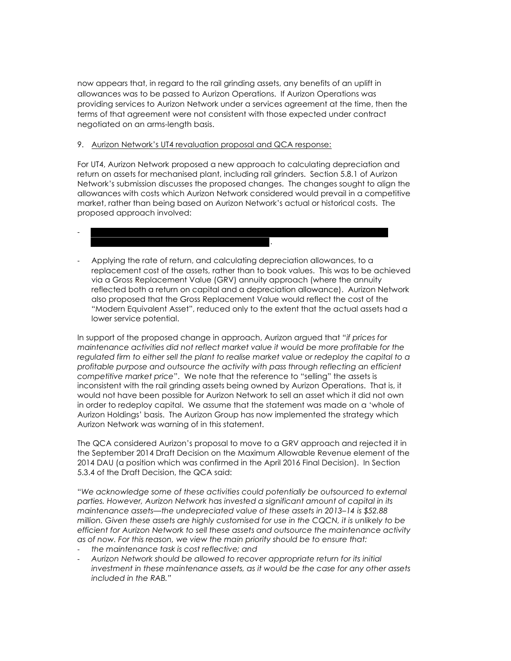now appears that, in regard to the rail grinding assets, any benefits of an uplift in allowances was to be passed to Aurizon Operations. If Aurizon Operations was providing services to Aurizon Network under a services agreement at the time, then the terms of that agreement were not consistent with those expected under contract negotiated on an arms-length basis.

#### 9. Aurizon Network's UT4 revaluation proposal and QCA response:

For UT4, Aurizon Network proposed a new approach to calculating depreciation and return on assets for mechanised plant, including rail grinders. Section 5.8.1 of Aurizon Network's submission discusses the proposed changes. The changes sought to align the allowances with costs which Aurizon Network considered would prevail in a competitive market, rather than being based on Aurizon Network's actual or historical costs. The proposed approach involved:

# - .

- Applying the rate of return, and calculating depreciation allowances, to a replacement cost of the assets, rather than to book values. This was to be achieved via a Gross Replacement Value (GRV) annuity approach (where the annuity reflected both a return on capital and a depreciation allowance). Aurizon Network also proposed that the Gross Replacement Value would reflect the cost of the "Modern Equivalent Asset", reduced only to the extent that the actual assets had a lower service potential.

In support of the proposed change in approach, Aurizon argued that "if prices for maintenance activities did not reflect market value it would be more profitable for the regulated firm to either sell the plant to realise market value or redeploy the capital to a profitable purpose and outsource the activity with pass through reflecting an efficient competitive market price". We note that the reference to "selling" the assets is inconsistent with the rail grinding assets being owned by Aurizon Operations. That is, it would not have been possible for Aurizon Network to sell an asset which it did not own in order to redeploy capital. We assume that the statement was made on a 'whole of Aurizon Holdings' basis. The Aurizon Group has now implemented the strategy which Aurizon Network was warning of in this statement.

The QCA considered Aurizon's proposal to move to a GRV approach and rejected it in the September 2014 Draft Decision on the Maximum Allowable Revenue element of the 2014 DAU (a position which was confirmed in the April 2016 Final Decision). In Section 5.3.4 of the Draft Decision, the QCA said:

"We acknowledge some of these activities could potentially be outsourced to external parties. However, Aurizon Network has invested a significant amount of capital in its maintenance assets—the undepreciated value of these assets in 2013–14 is \$52.88 million. Given these assets are highly customised for use in the CQCN, it is unlikely to be efficient for Aurizon Network to sell these assets and outsource the maintenance activity as of now. For this reason, we view the main priority should be to ensure that:

- the maintenance task is cost reflective; and
- Aurizon Network should be allowed to recover appropriate return for its initial investment in these maintenance assets, as it would be the case for any other assets included in the RAB."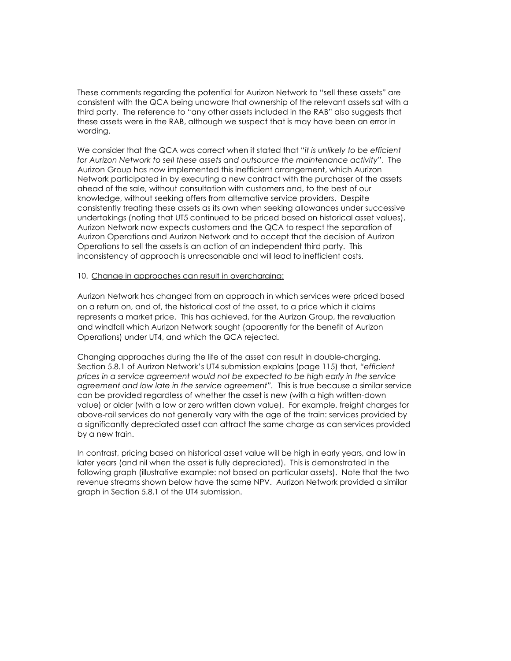These comments regarding the potential for Aurizon Network to "sell these assets" are consistent with the QCA being unaware that ownership of the relevant assets sat with a third party. The reference to "any other assets included in the RAB" also suggests that these assets were in the RAB, although we suspect that is may have been an error in wording.

We consider that the QCA was correct when it stated that "it is unlikely to be efficient for Aurizon Network to sell these assets and outsource the maintenance activity". The Aurizon Group has now implemented this inefficient arrangement, which Aurizon Network participated in by executing a new contract with the purchaser of the assets ahead of the sale, without consultation with customers and, to the best of our knowledge, without seeking offers from alternative service providers. Despite consistently treating these assets as its own when seeking allowances under successive undertakings (noting that UT5 continued to be priced based on historical asset values), Aurizon Network now expects customers and the QCA to respect the separation of Aurizon Operations and Aurizon Network and to accept that the decision of Aurizon Operations to sell the assets is an action of an independent third party. This inconsistency of approach is unreasonable and will lead to inefficient costs.

### 10. Change in approaches can result in overcharging:

Aurizon Network has changed from an approach in which services were priced based on a return on, and of, the historical cost of the asset, to a price which it claims represents a market price. This has achieved, for the Aurizon Group, the revaluation and windfall which Aurizon Network sought (apparently for the benefit of Aurizon Operations) under UT4, and which the QCA rejected.

Changing approaches during the life of the asset can result in double-charging. Section 5.8.1 of Aurizon Network's UT4 submission explains (page 115) that, "efficient prices in a service agreement would not be expected to be high early in the service agreement and low late in the service agreement". This is true because a similar service can be provided regardless of whether the asset is new (with a high written-down value) or older (with a low or zero written down value). For example, freight charges for above-rail services do not generally vary with the age of the train: services provided by a significantly depreciated asset can attract the same charge as can services provided by a new train.

In contrast, pricing based on historical asset value will be high in early years, and low in later years (and nil when the asset is fully depreciated). This is demonstrated in the following graph (illustrative example: not based on particular assets). Note that the two revenue streams shown below have the same NPV. Aurizon Network provided a similar graph in Section 5.8.1 of the UT4 submission.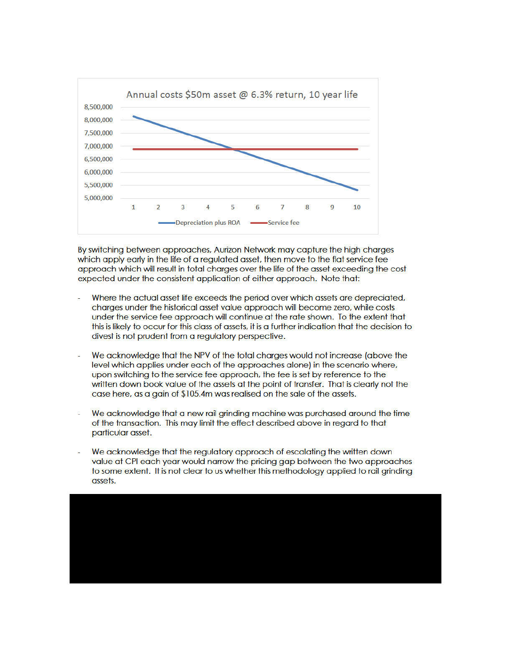

 By switching between approaches, Aurizon Network may capture the high charges which apply early in the life of a regulated asset, then move to the flat service fee approach which will result in total charges over the life of the asset exceeding the cost expected under the consistent application of either approach. Note that:

- Where the actual asset life exceeds the period over which assets are depreciated, charges under the historical asset value approach will become zero, while costs under the service fee approach will continue at the rate shown. To the extent that this is likely to occur for this class of assets, it is a further indication that the decision to divest is not prudent from a regulatory perspective.
- We acknowledge that the NPV of the total charges would not increase (above the level which applies under each of the approaches alone) in the scenario where, upon switching to the service fee approach, the fee is set by reference to the written down book value of the assets at the point of transfer. That is clearly not the case here, as a gain of \$105.4m was realised on the sale of the assets.
- We acknowledge that a new rail grinding machine was purchased around the time of the transaction. This may limit the effect described above in regard to that particular asset.
- value at CPI each year would narrow the pricing gap between the two approaches to some extent. It is not clear to us whether this methodology applied to rail grinding We acknowledge that the regulatory approach of escalating the written down assets.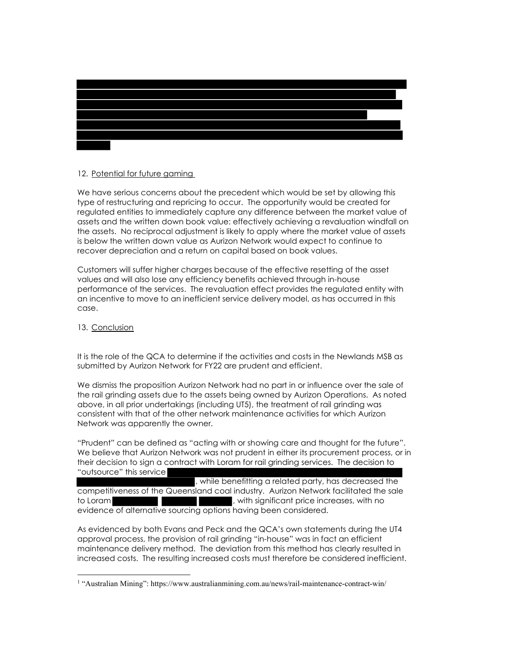

### 12. Potential for future gaming

We have serious concerns about the precedent which would be set by allowing this type of restructuring and repricing to occur. The opportunity would be created for regulated entities to immediately capture any difference between the market value of assets and the written down book value: effectively achieving a revaluation windfall on the assets. No reciprocal adjustment is likely to apply where the market value of assets is below the written down value as Aurizon Network would expect to continue to recover depreciation and a return on capital based on book values.

Customers will suffer higher charges because of the effective resetting of the asset values and will also lose any efficiency benefits achieved through in-house performance of the services. The revaluation effect provides the regulated entity with an incentive to move to an inefficient service delivery model, as has occurred in this case.

### 13. Conclusion

It is the role of the QCA to determine if the activities and costs in the Newlands MSB as submitted by Aurizon Network for FY22 are prudent and efficient.

We dismiss the proposition Aurizon Network had no part in or influence over the sale of the rail grinding assets due to the assets being owned by Aurizon Operations. As noted above, in all prior undertakings (including UT5), the treatment of rail grinding was consistent with that of the other network maintenance activities for which Aurizon Network was apparently the owner.

"Prudent" can be defined as "acting with or showing care and thought for the future". We believe that Aurizon Network was not prudent in either its procurement process, or in their decision to sign a contract with Loram for rail grinding services. The decision to "outsource" this service

, while benefitting a related party, has decreased the competitiveness of the Queensland coal industry. Aurizon Network facilitated the sale to Loram **Table 10 and 10 and 10 and 10 and 10 and 10 and 10 and 10 and 10 and 10 and 10 and 10 and 10 and 10 and 10 and 10 and 10 and 10 and 10 and 10 and 10 and 10 and 10 and 10 and 10 and 10 and 10 and 10 and 10 and 10** evidence of alternative sourcing options having been considered.

As evidenced by both Evans and Peck and the QCA's own statements during the UT4 approval process, the provision of rail grinding "in-house" was in fact an efficient maintenance delivery method. The deviation from this method has clearly resulted in increased costs. The resulting increased costs must therefore be considered inefficient.

<sup>1</sup> "Australian Mining": https://www.australianmining.com.au/news/rail-maintenance-contract-win/